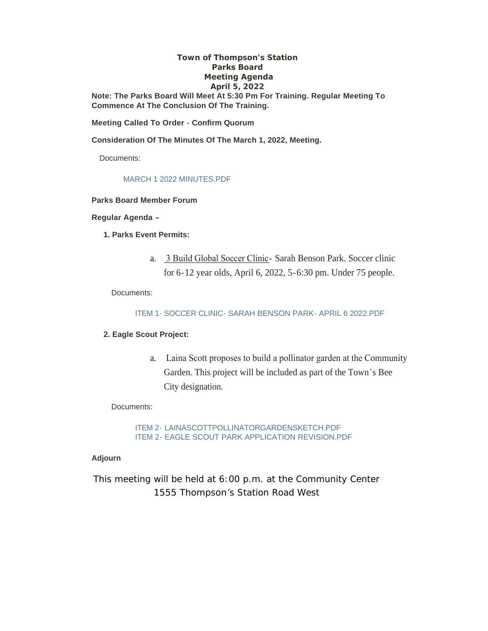#### **Town of Thompson's Station Parks Board Meeting Agenda April 5, 2022**

**Note: The Parks Board Will Meet At 5:30 Pm For Training. Regular Meeting To Commence At The Conclusion Of The Training.**

**Meeting Called To Order - Confirm Quorum**

**Consideration Of The Minutes Of The March 1, 2022, Meeting.**

Documents:

#### MARCH 1 2022 MINUTES.PDF

#### **Parks Board Member Forum**

#### **Regular Agenda –**

- **1. Parks Event Permits:**
	- a. 3 Build Global Soccer Clinic- Sarah Benson Park. Soccer clinic for 6-12 year olds, April 6, 2022, 5-6:30 pm. Under 75 people.

Documents:

ITEM 1- SOCCER CLINIC- SARAH BENSON PARK- APRIL 6 2022.PDF

#### **2. Eagle Scout Project:**

a. Laina Scott proposes to build a pollinator garden at the Community Garden. This project will be included as part of the Town's Bee City designation.

#### Documents:

ITEM 2- LAINASCOTTPOLLINATORGARDENSKETCH.PDF ITEM 2- EAGLE SCOUT PARK APPLICATION REVISION.PDF

#### **Adjourn**

*This meeting will be held at 6:00 p.m. at the Community Center 1555 Thompson's Station Road West*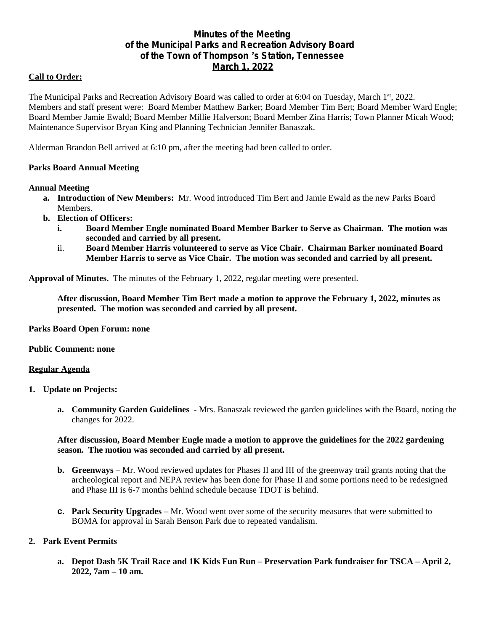# **Minutes of the Meeting of the Municipal Parks and Recreation Advisory Board of the Town of Thompson** '**s Station, Tennessee March 1, 2022**

# **Call to Order:**

The Municipal Parks and Recreation Advisory Board was called to order at 6:04 on Tuesday, March 1st, 2022. Members and staff present were: Board Member Matthew Barker; Board Member Tim Bert; Board Member Ward Engle; Board Member Jamie Ewald; Board Member Millie Halverson; Board Member Zina Harris; Town Planner Micah Wood; Maintenance Supervisor Bryan King and Planning Technician Jennifer Banaszak.

Alderman Brandon Bell arrived at 6:10 pm, after the meeting had been called to order.

## **Parks Board Annual Meeting**

## **Annual Meeting**

- **a. Introduction of New Members:** Mr. Wood introduced Tim Bert and Jamie Ewald as the new Parks Board Members.
- **b. Election of Officers:**
	- **i. Board Member Engle nominated Board Member Barker to Serve as Chairman. The motion was seconded and carried by all present.**
	- ii. **Board Member Harris volunteered to serve as Vice Chair. Chairman Barker nominated Board Member Harris to serve as Vice Chair. The motion was seconded and carried by all present.**

**Approval of Minutes.** The minutes of the February 1, 2022, regular meeting were presented.

**After discussion, Board Member Tim Bert made a motion to approve the February 1, 2022, minutes as presented. The motion was seconded and carried by all present.**

#### **Parks Board Open Forum: none**

## **Public Comment: none**

#### **Regular Agenda**

- **1. Update on Projects:**
	- **a. Community Garden Guidelines** Mrs. Banaszak reviewed the garden guidelines with the Board, noting the changes for 2022.

## **After discussion, Board Member Engle made a motion to approve the guidelines for the 2022 gardening season. The motion was seconded and carried by all present.**

- **b. Greenways** Mr. Wood reviewed updates for Phases II and III of the greenway trail grants noting that the archeological report and NEPA review has been done for Phase II and some portions need to be redesigned and Phase III is 6-7 months behind schedule because TDOT is behind.
- **c. Park Security Upgrades –** Mr. Wood went over some of the security measures that were submitted to BOMA for approval in Sarah Benson Park due to repeated vandalism.

# **2. Park Event Permits**

**a. Depot Dash 5K Trail Race and 1K Kids Fun Run – Preservation Park fundraiser for TSCA – April 2, 2022, 7am – 10 am.**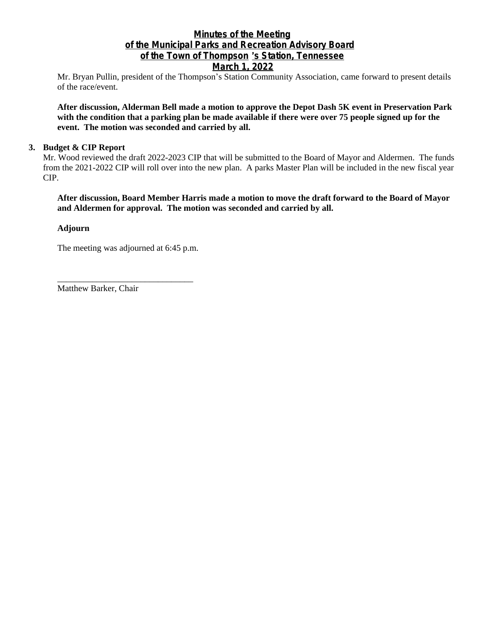# **Minutes of the Meeting of the Municipal Parks and Recreation Advisory Board of the Town of Thompson** '**s Station, Tennessee**

# **March 1, 2022**

Mr. Bryan Pullin, president of the Thompson's Station Community Association, came forward to present details of the race/event.

**After discussion, Alderman Bell made a motion to approve the Depot Dash 5K event in Preservation Park with the condition that a parking plan be made available if there were over 75 people signed up for the event. The motion was seconded and carried by all.**

## **3. Budget & CIP Report**

Mr. Wood reviewed the draft 2022-2023 CIP that will be submitted to the Board of Mayor and Aldermen. The funds from the 2021-2022 CIP will roll over into the new plan. A parks Master Plan will be included in the new fiscal year CIP.

**After discussion, Board Member Harris made a motion to move the draft forward to the Board of Mayor and Aldermen for approval. The motion was seconded and carried by all.**

## **Adjourn**

The meeting was adjourned at 6:45 p.m.

\_\_\_\_\_\_\_\_\_\_\_\_\_\_\_\_\_\_\_\_\_\_\_\_\_\_\_\_\_\_\_

Matthew Barker, Chair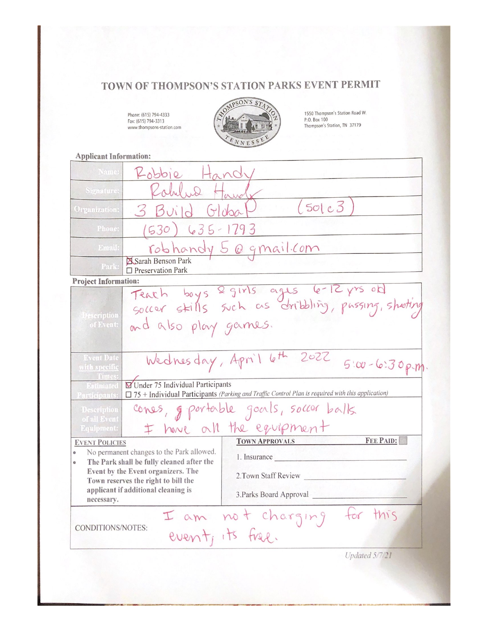# TOWN OF THOMPSON'S STATION PARKS EVENT PERMIT

Phone: (615) 794-4333<br>Fax: (615) 794-3313<br>www.thompsons-station.com



1550 Thompson's Station Road W.<br>P.O. Box 100<br>Thompson's Station, TN 37179

**Applicant Information:** 

| Name:                                                                                                                                                                                                                         | Robbie Hand                                                                                  |                                                                                                          |                  |
|-------------------------------------------------------------------------------------------------------------------------------------------------------------------------------------------------------------------------------|----------------------------------------------------------------------------------------------|----------------------------------------------------------------------------------------------------------|------------------|
| Signature:                                                                                                                                                                                                                    | Robert wa +                                                                                  |                                                                                                          |                  |
| Organization:                                                                                                                                                                                                                 | (50c)<br>3 Build Gluba                                                                       |                                                                                                          |                  |
| Phone:                                                                                                                                                                                                                        | (530) 635-1793                                                                               |                                                                                                          |                  |
| Email:                                                                                                                                                                                                                        | robhandy 5 @ gmail.com                                                                       |                                                                                                          |                  |
| Park:                                                                                                                                                                                                                         | Sarah Benson Park<br>$\square$ Preservation Park                                             |                                                                                                          |                  |
| <b>Project Information:</b>                                                                                                                                                                                                   |                                                                                              |                                                                                                          |                  |
|                                                                                                                                                                                                                               |                                                                                              |                                                                                                          |                  |
|                                                                                                                                                                                                                               | Teach boys 2 girls ages 6-12 yrs off .<br>Soccer stills such as dribbling, passing, shooting |                                                                                                          |                  |
| Description<br>of Event:                                                                                                                                                                                                      | and also play games.                                                                         |                                                                                                          |                  |
| <b>Event Date</b><br>with specific                                                                                                                                                                                            | Wednesday, April 6th 2022<br>$5:00 - 6:30$ p-m                                               |                                                                                                          |                  |
| Times:<br>Estimated<br>articipants:                                                                                                                                                                                           | Under 75 Individual Participants                                                             | $\Box$ 75 + Individual Participants (Parking and Traffic Control Plan is required with this application) |                  |
| Description<br>of all Event                                                                                                                                                                                                   | cones, g portable goals, soccer balls                                                        |                                                                                                          |                  |
| <b>Equipment:</b>                                                                                                                                                                                                             |                                                                                              | I have all the equipment                                                                                 |                  |
| <b>EVENT POLICIES</b>                                                                                                                                                                                                         |                                                                                              | <b>TOWN APPROVALS</b>                                                                                    | <b>FEE PAID:</b> |
| No permanent changes to the Park allowed.<br>The Park shall be fully cleaned after the<br>ò<br>Event by the Event organizers. The<br>Town reserves the right to bill the<br>applicant if additional cleaning is<br>necessary. |                                                                                              | 1. Insurance                                                                                             |                  |
|                                                                                                                                                                                                                               |                                                                                              | 2. Town Staff Review                                                                                     |                  |
|                                                                                                                                                                                                                               |                                                                                              | 3. Parks Board Approval                                                                                  |                  |
|                                                                                                                                                                                                                               |                                                                                              | I am not charging for                                                                                    | this             |
| CONDITIONS/NOTES:                                                                                                                                                                                                             |                                                                                              | event, its free.                                                                                         |                  |
|                                                                                                                                                                                                                               |                                                                                              |                                                                                                          | Updated 5/7/21   |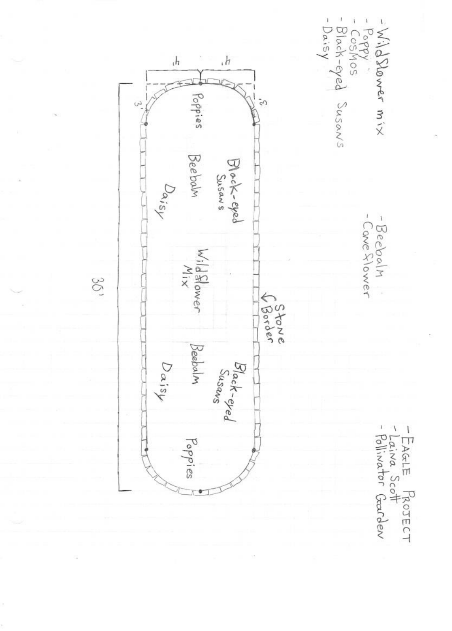